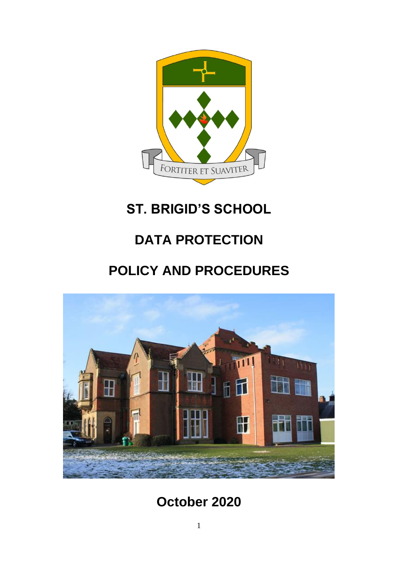

# **ST. BRIGID'S SCHOOL**

# **DATA PROTECTION**

# **POLICY AND PROCEDURES**



# **October 2020**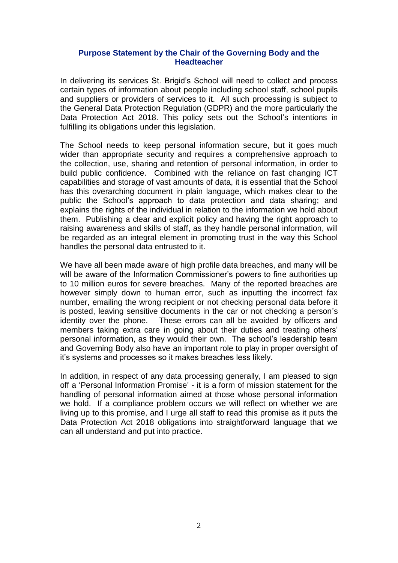#### **Purpose Statement by the Chair of the Governing Body and the Headteacher**

In delivering its services St. Brigid's School will need to collect and process certain types of information about people including school staff, school pupils and suppliers or providers of services to it. All such processing is subject to the General Data Protection Regulation (GDPR) and the more particularly the Data Protection Act 2018. This policy sets out the School's intentions in fulfilling its obligations under this legislation.

The School needs to keep personal information secure, but it goes much wider than appropriate security and requires a comprehensive approach to the collection, use, sharing and retention of personal information, in order to build public confidence. Combined with the reliance on fast changing ICT capabilities and storage of vast amounts of data, it is essential that the School has this overarching document in plain language, which makes clear to the public the School's approach to data protection and data sharing; and explains the rights of the individual in relation to the information we hold about them. Publishing a clear and explicit policy and having the right approach to raising awareness and skills of staff, as they handle personal information, will be regarded as an integral element in promoting trust in the way this School handles the personal data entrusted to it.

We have all been made aware of high profile data breaches, and many will be will be aware of the Information Commissioner's powers to fine authorities up to 10 million euros for severe breaches. Many of the reported breaches are however simply down to human error, such as inputting the incorrect fax number, emailing the wrong recipient or not checking personal data before it is posted, leaving sensitive documents in the car or not checking a person's identity over the phone. These errors can all be avoided by officers and members taking extra care in going about their duties and treating others' personal information, as they would their own. The school's leadership team and Governing Body also have an important role to play in proper oversight of it's systems and processes so it makes breaches less likely.

In addition, in respect of any data processing generally, I am pleased to sign off a 'Personal Information Promise' - it is a form of mission statement for the handling of personal information aimed at those whose personal information we hold. If a compliance problem occurs we will reflect on whether we are living up to this promise, and I urge all staff to read this promise as it puts the Data Protection Act 2018 obligations into straightforward language that we can all understand and put into practice.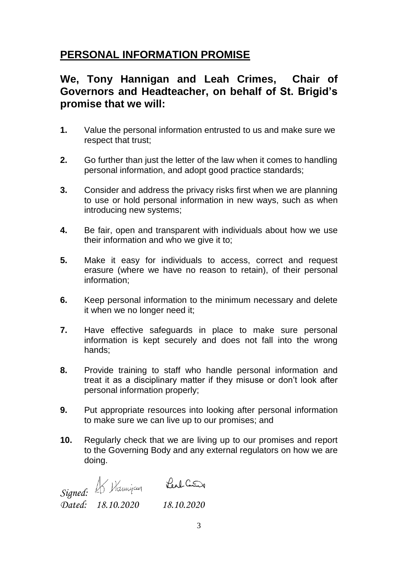# **PERSONAL INFORMATION PROMISE**

# **We, Tony Hannigan and Leah Crimes, Chair of Governors and Headteacher, on behalf of St. Brigid's promise that we will:**

- **1.** Value the personal information entrusted to us and make sure we respect that trust;
- **2.** Go further than just the letter of the law when it comes to handling personal information, and adopt good practice standards;
- **3.** Consider and address the privacy risks first when we are planning to use or hold personal information in new ways, such as when introducing new systems;
- **4.** Be fair, open and transparent with individuals about how we use their information and who we give it to;
- **5.** Make it easy for individuals to access, correct and request erasure (where we have no reason to retain), of their personal information;
- **6.** Keep personal information to the minimum necessary and delete it when we no longer need it;
- **7.** Have effective safeguards in place to make sure personal information is kept securely and does not fall into the wrong hands;
- **8.** Provide training to staff who handle personal information and treat it as a disciplinary matter if they misuse or don't look after personal information properly;
- **9.** Put appropriate resources into looking after personal information to make sure we can live up to our promises; and
- **10.** Regularly check that we are living up to our promises and report to the Governing Body and any external regulators on how we are doing.

*Signed:* 

*Dated: 18.10.2020 18.10.2020*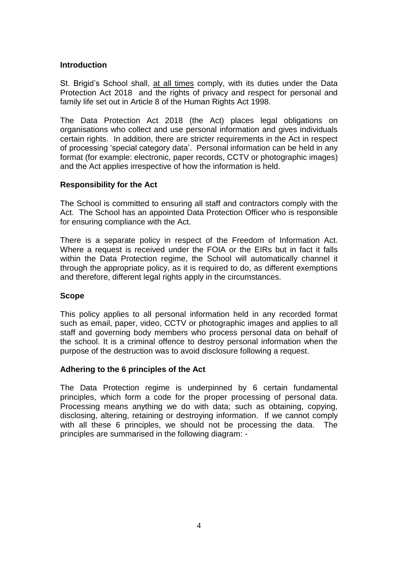#### **Introduction**

St. Brigid's School shall, at all times comply, with its duties under the Data Protection Act 2018 and the rights of privacy and respect for personal and family life set out in Article 8 of the Human Rights Act 1998.

The Data Protection Act 2018 (the Act) places legal obligations on organisations who collect and use personal information and gives individuals certain rights. In addition, there are stricter requirements in the Act in respect of processing 'special category data'. Personal information can be held in any format (for example: electronic, paper records, CCTV or photographic images) and the Act applies irrespective of how the information is held.

#### **Responsibility for the Act**

The School is committed to ensuring all staff and contractors comply with the Act. The School has an appointed Data Protection Officer who is responsible for ensuring compliance with the Act.

There is a separate policy in respect of the Freedom of Information Act. Where a request is received under the FOIA or the EIRs but in fact it falls within the Data Protection regime, the School will automatically channel it through the appropriate policy, as it is required to do, as different exemptions and therefore, different legal rights apply in the circumstances.

#### **Scope**

This policy applies to all personal information held in any recorded format such as email, paper, video, CCTV or photographic images and applies to all staff and governing body members who process personal data on behalf of the school. It is a criminal offence to destroy personal information when the purpose of the destruction was to avoid disclosure following a request.

#### **Adhering to the 6 principles of the Act**

The Data Protection regime is underpinned by 6 certain fundamental principles, which form a code for the proper processing of personal data. Processing means anything we do with data; such as obtaining, copying, disclosing, altering, retaining or destroying information. If we cannot comply with all these 6 principles, we should not be processing the data. The principles are summarised in the following diagram: -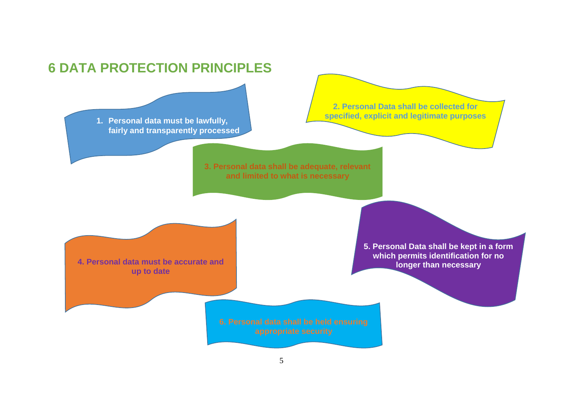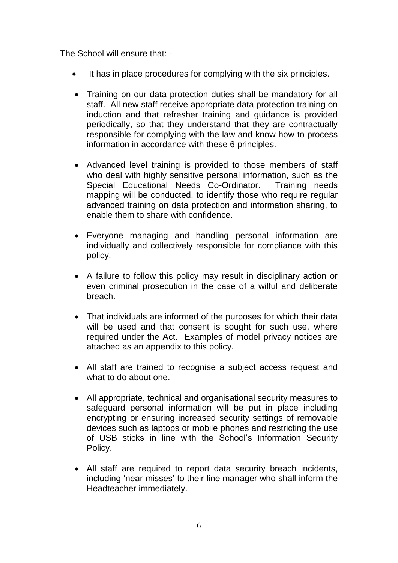The School will ensure that: -

- It has in place procedures for complying with the six principles.
- Training on our data protection duties shall be mandatory for all staff. All new staff receive appropriate data protection training on induction and that refresher training and guidance is provided periodically, so that they understand that they are contractually responsible for complying with the law and know how to process information in accordance with these 6 principles.
- Advanced level training is provided to those members of staff who deal with highly sensitive personal information, such as the Special Educational Needs Co-Ordinator. Training needs mapping will be conducted, to identify those who require regular advanced training on data protection and information sharing, to enable them to share with confidence.
- Everyone managing and handling personal information are individually and collectively responsible for compliance with this policy.
- A failure to follow this policy may result in disciplinary action or even criminal prosecution in the case of a wilful and deliberate breach.
- That individuals are informed of the purposes for which their data will be used and that consent is sought for such use, where required under the Act. Examples of model privacy notices are attached as an appendix to this policy.
- All staff are trained to recognise a subject access request and what to do about one.
- All appropriate, technical and organisational security measures to safeguard personal information will be put in place including encrypting or ensuring increased security settings of removable devices such as laptops or mobile phones and restricting the use of USB sticks in line with the School's Information Security Policy.
- All staff are required to report data security breach incidents, including 'near misses' to their line manager who shall inform the Headteacher immediately.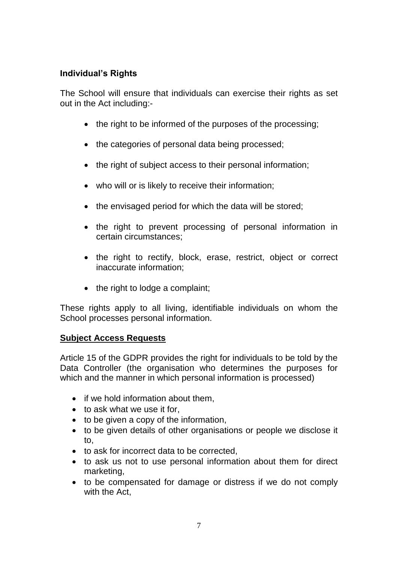# **Individual's Rights**

The School will ensure that individuals can exercise their rights as set out in the Act including:-

- the right to be informed of the purposes of the processing;
- the categories of personal data being processed;
- the right of subject access to their personal information;
- who will or is likely to receive their information;
- the envisaged period for which the data will be stored;
- the right to prevent processing of personal information in certain circumstances;
- the right to rectify, block, erase, restrict, object or correct inaccurate information;
- the right to lodge a complaint;

These rights apply to all living, identifiable individuals on whom the School processes personal information.

## **Subject Access Requests**

Article 15 of the GDPR provides the right for individuals to be told by the Data Controller (the organisation who determines the purposes for which and the manner in which personal information is processed)

- if we hold information about them,
- to ask what we use it for,
- to be given a copy of the information,
- to be given details of other organisations or people we disclose it to,
- to ask for incorrect data to be corrected,
- to ask us not to use personal information about them for direct marketing,
- to be compensated for damage or distress if we do not comply with the Act,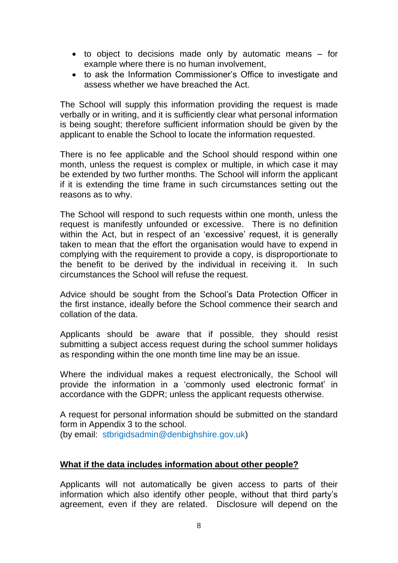- to object to decisions made only by automatic means for example where there is no human involvement,
- to ask the Information Commissioner's Office to investigate and assess whether we have breached the Act.

The School will supply this information providing the request is made verbally or in writing, and it is sufficiently clear what personal information is being sought; therefore sufficient information should be given by the applicant to enable the School to locate the information requested.

There is no fee applicable and the School should respond within one month, unless the request is complex or multiple, in which case it may be extended by two further months. The School will inform the applicant if it is extending the time frame in such circumstances setting out the reasons as to why.

The School will respond to such requests within one month, unless the request is manifestly unfounded or excessive. There is no definition within the Act, but in respect of an 'excessive' request, it is generally taken to mean that the effort the organisation would have to expend in complying with the requirement to provide a copy, is disproportionate to the benefit to be derived by the individual in receiving it. In such circumstances the School will refuse the request.

Advice should be sought from the School's Data Protection Officer in the first instance, ideally before the School commence their search and collation of the data.

Applicants should be aware that if possible, they should resist submitting a subject access request during the school summer holidays as responding within the one month time line may be an issue.

Where the individual makes a request electronically, the School will provide the information in a 'commonly used electronic format' in accordance with the GDPR; unless the applicant requests otherwise.

A request for personal information should be submitted on the standard form in Appendix 3 to the school. (by email: stbrigidsadmin@denbighshire.gov.uk)

#### **What if the data includes information about other people?**

Applicants will not automatically be given access to parts of their information which also identify other people, without that third party's agreement, even if they are related. Disclosure will depend on the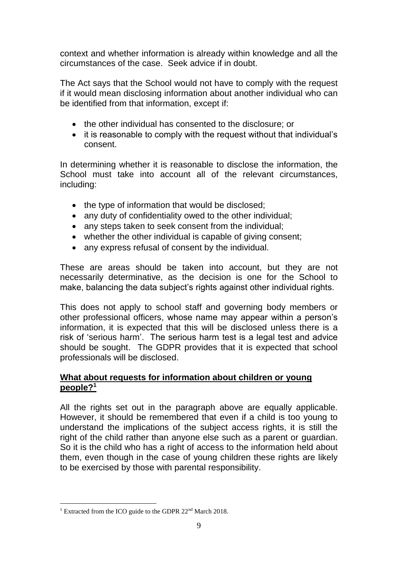context and whether information is already within knowledge and all the circumstances of the case. Seek advice if in doubt.

The Act says that the School would not have to comply with the request if it would mean disclosing information about another individual who can be identified from that information, except if:

- the other individual has consented to the disclosure; or
- it is reasonable to comply with the request without that individual's consent.

In determining whether it is reasonable to disclose the information, the School must take into account all of the relevant circumstances, including:

- the type of information that would be disclosed;
- any duty of confidentiality owed to the other individual;
- any steps taken to seek consent from the individual;
- whether the other individual is capable of giving consent;
- any express refusal of consent by the individual.

These are areas should be taken into account, but they are not necessarily determinative, as the decision is one for the School to make, balancing the data subject's rights against other individual rights.

This does not apply to school staff and governing body members or other professional officers, whose name may appear within a person's information, it is expected that this will be disclosed unless there is a risk of 'serious harm'. The serious harm test is a legal test and advice should be sought. The GDPR provides that it is expected that school professionals will be disclosed.

#### **What about requests for information about children or young people?<sup>1</sup>**

All the rights set out in the paragraph above are equally applicable. However, it should be remembered that even if a child is too young to understand the implications of the subject access rights, it is still the right of the child rather than anyone else such as a parent or guardian. So it is the child who has a right of access to the information held about them, even though in the case of young children these rights are likely to be exercised by those with parental responsibility.

 $\overline{a}$ <sup>1</sup> Extracted from the ICO guide to the GDPR 22<sup>nd</sup> March 2018.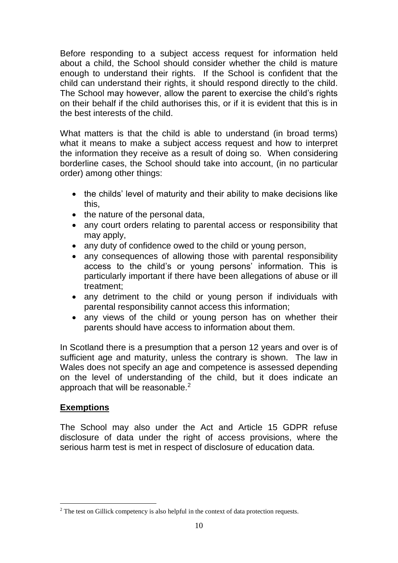Before responding to a subject access request for information held about a child, the School should consider whether the child is mature enough to understand their rights. If the School is confident that the child can understand their rights, it should respond directly to the child. The School may however, allow the parent to exercise the child's rights on their behalf if the child authorises this, or if it is evident that this is in the best interests of the child.

What matters is that the child is able to understand (in broad terms) what it means to make a subject access request and how to interpret the information they receive as a result of doing so. When considering borderline cases, the School should take into account, (in no particular order) among other things:

- the childs' level of maturity and their ability to make decisions like this,
- the nature of the personal data,
- any court orders relating to parental access or responsibility that may apply,
- any duty of confidence owed to the child or young person,
- any consequences of allowing those with parental responsibility access to the child's or young persons' information. This is particularly important if there have been allegations of abuse or ill treatment;
- any detriment to the child or young person if individuals with parental responsibility cannot access this information;
- any views of the child or young person has on whether their parents should have access to information about them.

In Scotland there is a presumption that a person 12 years and over is of sufficient age and maturity, unless the contrary is shown. The law in Wales does not specify an age and competence is assessed depending on the level of understanding of the child, but it does indicate an approach that will be reasonable.<sup>2</sup>

## **Exemptions**

The School may also under the Act and Article 15 GDPR refuse disclosure of data under the right of access provisions, where the serious harm test is met in respect of disclosure of education data.

 $\overline{a}$ <sup>2</sup> The test on Gillick competency is also helpful in the context of data protection requests.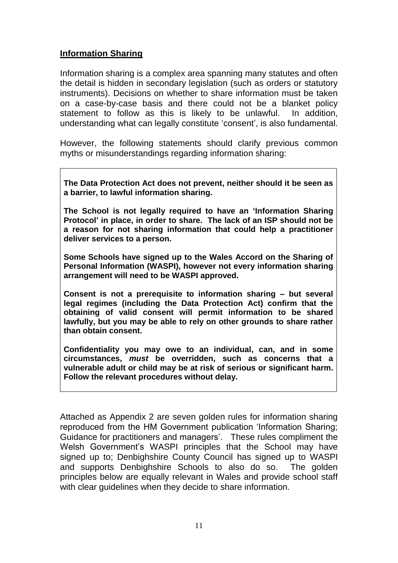## **Information Sharing**

Information sharing is a complex area spanning many statutes and often the detail is hidden in secondary legislation (such as orders or statutory instruments). Decisions on whether to share information must be taken on a case-by-case basis and there could not be a blanket policy statement to follow as this is likely to be unlawful. In addition, understanding what can legally constitute 'consent', is also fundamental.

However, the following statements should clarify previous common myths or misunderstandings regarding information sharing:

**The Data Protection Act does not prevent, neither should it be seen as a barrier, to lawful information sharing.** 

**The School is not legally required to have an 'Information Sharing Protocol' in place, in order to share. The lack of an ISP should not be a reason for not sharing information that could help a practitioner deliver services to a person.** 

**Some Schools have signed up to the Wales Accord on the Sharing of Personal Information (WASPI), however not every information sharing arrangement will need to be WASPI approved.** 

**Consent is not a prerequisite to information sharing – but several legal regimes (including the Data Protection Act) confirm that the obtaining of valid consent will permit information to be shared lawfully, but you may be able to rely on other grounds to share rather than obtain consent.** 

**Confidentiality you may owe to an individual, can, and in some circumstances,** *must* **be overridden, such as concerns that a vulnerable adult or child may be at risk of serious or significant harm. Follow the relevant procedures without delay.** 

Attached as Appendix 2 are seven golden rules for information sharing reproduced from the HM Government publication 'Information Sharing; Guidance for practitioners and managers'. These rules compliment the Welsh Government's WASPI principles that the School may have signed up to; Denbighshire County Council has signed up to WASPI and supports Denbighshire Schools to also do so. The golden principles below are equally relevant in Wales and provide school staff with clear quidelines when they decide to share information.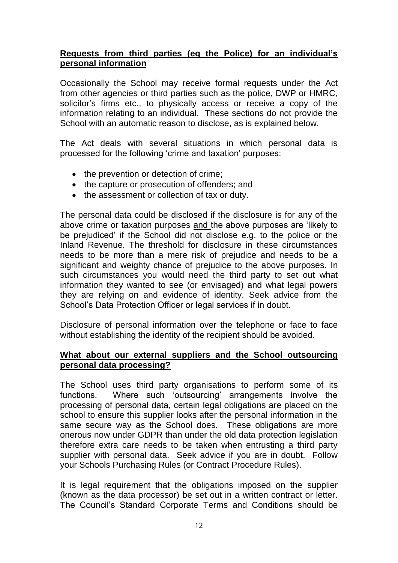#### **Requests from third parties (eg the Police) for an individual's personal information**

Occasionally the School may receive formal requests under the Act from other agencies or third parties such as the police, DWP or HMRC, solicitor's firms etc., to physically access or receive a copy of the information relating to an individual. These sections do not provide the School with an automatic reason to disclose, as is explained below.

The Act deals with several situations in which personal data is processed for the following 'crime and taxation' purposes:

- the prevention or detection of crime;
- the capture or prosecution of offenders; and
- the assessment or collection of tax or duty.

The personal data could be disclosed if the disclosure is for any of the above crime or taxation purposes and the above purposes are 'likely to be prejudiced' if the School did not disclose e.g. to the police or the Inland Revenue. The threshold for disclosure in these circumstances needs to be more than a mere risk of prejudice and needs to be a significant and weighty chance of prejudice to the above purposes. In such circumstances you would need the third party to set out what information they wanted to see (or envisaged) and what legal powers they are relying on and evidence of identity. Seek advice from the School's Data Protection Officer or legal services if in doubt.

Disclosure of personal information over the telephone or face to face without establishing the identity of the recipient should be avoided.

#### **What about our external suppliers and the School outsourcing personal data processing?**

The School uses third party organisations to perform some of its functions. Where such 'outsourcing' arrangements involve the processing of personal data, certain legal obligations are placed on the school to ensure this supplier looks after the personal information in the same secure way as the School does. These obligations are more onerous now under GDPR than under the old data protection legislation therefore extra care needs to be taken when entrusting a third party supplier with personal data. Seek advice if you are in doubt. Follow your Schools Purchasing Rules (or Contract Procedure Rules).

It is legal requirement that the obligations imposed on the supplier (known as the data processor) be set out in a written contract or letter. The Council's Standard Corporate Terms and Conditions should be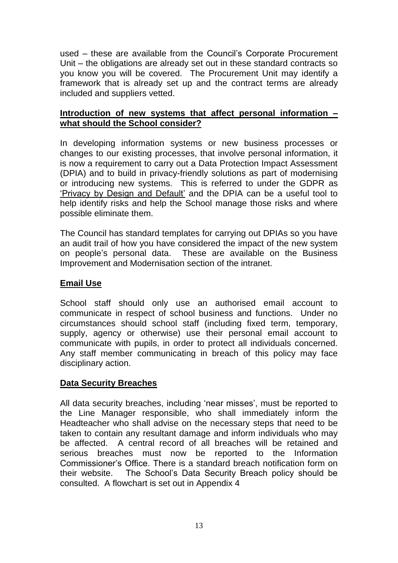used – these are available from the Council's Corporate Procurement Unit – the obligations are already set out in these standard contracts so you know you will be covered. The Procurement Unit may identify a framework that is already set up and the contract terms are already included and suppliers vetted.

## **Introduction of new systems that affect personal information – what should the School consider?**

In developing information systems or new business processes or changes to our existing processes, that involve personal information, it is now a requirement to carry out a Data Protection Impact Assessment (DPIA) and to build in privacy-friendly solutions as part of modernising or introducing new systems. This is referred to under the GDPR as 'Privacy by Design and Default' and the DPIA can be a useful tool to help identify risks and help the School manage those risks and where possible eliminate them.

The Council has standard templates for carrying out DPIAs so you have an audit trail of how you have considered the impact of the new system on people's personal data. These are available on the Business Improvement and Modernisation section of the intranet.

## **Email Use**

School staff should only use an authorised email account to communicate in respect of school business and functions. Under no circumstances should school staff (including fixed term, temporary, supply, agency or otherwise) use their personal email account to communicate with pupils, in order to protect all individuals concerned. Any staff member communicating in breach of this policy may face disciplinary action.

## **Data Security Breaches**

All data security breaches, including 'near misses', must be reported to the Line Manager responsible, who shall immediately inform the Headteacher who shall advise on the necessary steps that need to be taken to contain any resultant damage and inform individuals who may be affected. A central record of all breaches will be retained and serious breaches must now be reported to the Information Commissioner's Office. There is a standard breach notification form on their website. The School's Data Security Breach policy should be consulted. A flowchart is set out in Appendix 4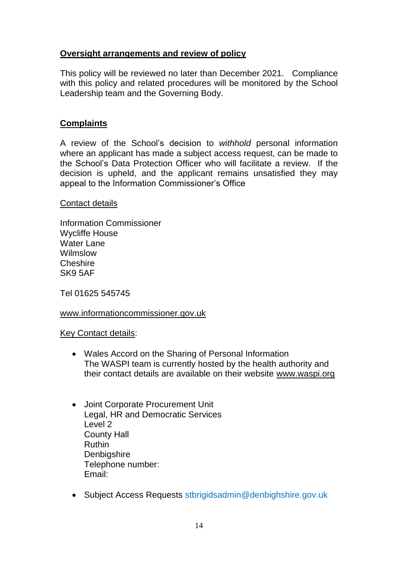## **Oversight arrangements and review of policy**

This policy will be reviewed no later than December 2021. Compliance with this policy and related procedures will be monitored by the School Leadership team and the Governing Body.

## **Complaints**

A review of the School's decision to *withhold* personal information where an applicant has made a subject access request, can be made to the School's Data Protection Officer who will facilitate a review. If the decision is upheld, and the applicant remains unsatisfied they may appeal to the Information Commissioner's Office

#### Contact details

Information Commissioner Wycliffe House Water Lane Wilmslow **Cheshire** SK9 5AF

Tel 01625 545745

#### [www.informationcommissioner.gov.uk](http://www.informationcommissioner.gov.uk/)

#### Key Contact details:

- Wales Accord on the Sharing of Personal Information The WASPI team is currently hosted by the health authority and their contact details are available on their website [www.waspi.org](http://www.waspi.org/)
- Joint Corporate Procurement Unit Legal, HR and Democratic Services Level 2 County Hall Ruthin **Denbigshire** Telephone number: Email:
- Subject Access Requests stbrigidsadmin@denbighshire.gov.uk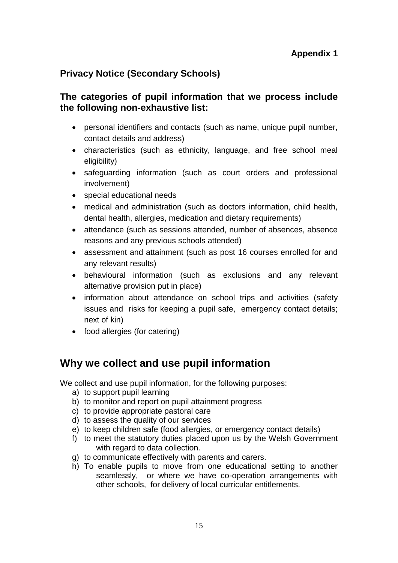# **Privacy Notice (Secondary Schools)**

# **The categories of pupil information that we process include the following non-exhaustive list:**

- personal identifiers and contacts (such as name, unique pupil number, contact details and address)
- characteristics (such as ethnicity, language, and free school meal eligibility)
- safeguarding information (such as court orders and professional involvement)
- special educational needs
- medical and administration (such as doctors information, child health, dental health, allergies, medication and dietary requirements)
- attendance (such as sessions attended, number of absences, absence reasons and any previous schools attended)
- assessment and attainment (such as post 16 courses enrolled for and any relevant results)
- behavioural information (such as exclusions and any relevant alternative provision put in place)
- information about attendance on school trips and activities (safety issues and risks for keeping a pupil safe, emergency contact details; next of kin)
- food allergies (for catering)

# **Why we collect and use pupil information**

We collect and use pupil information, for the following purposes:

- a) to support pupil learning
- b) to monitor and report on pupil attainment progress
- c) to provide appropriate pastoral care
- d) to assess the quality of our services
- e) to keep children safe (food allergies, or emergency contact details)
- f) to meet the statutory duties placed upon us by the Welsh Government with regard to data collection.
- g) to communicate effectively with parents and carers.
- h) To enable pupils to move from one educational setting to another seamlessly, or where we have co-operation arrangements with other schools, for delivery of local curricular entitlements.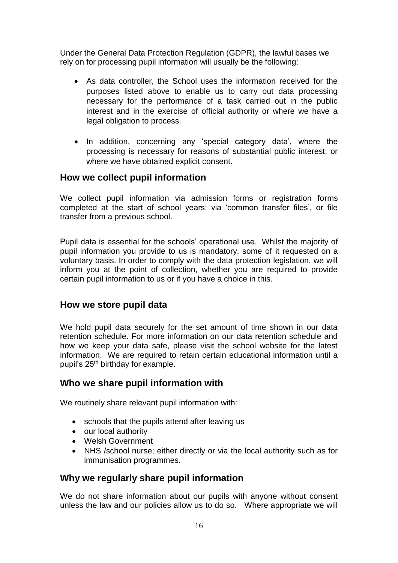Under the General Data Protection Regulation (GDPR), the lawful bases we rely on for processing pupil information will usually be the following:

- As data controller, the School uses the information received for the purposes listed above to enable us to carry out data processing necessary for the performance of a task carried out in the public interest and in the exercise of official authority or where we have a legal obligation to process.
- In addition, concerning any 'special category data', where the processing is necessary for reasons of substantial public interest; or where we have obtained explicit consent.

## **How we collect pupil information**

We collect pupil information via admission forms or registration forms completed at the start of school years; via 'common transfer files', or file transfer from a previous school.

Pupil data is essential for the schools' operational use. Whilst the majority of pupil information you provide to us is mandatory, some of it requested on a voluntary basis. In order to comply with the data protection legislation, we will inform you at the point of collection, whether you are required to provide certain pupil information to us or if you have a choice in this.

## **How we store pupil data**

We hold pupil data securely for the set amount of time shown in our data retention schedule. For more information on our data retention schedule and how we keep your data safe, please visit the school website for the latest information. We are required to retain certain educational information until a pupil's 25<sup>th</sup> birthday for example.

## **Who we share pupil information with**

We routinely share relevant pupil information with:

- schools that the pupils attend after leaving us
- our local authority
- Welsh Government
- NHS /school nurse; either directly or via the local authority such as for immunisation programmes.

# **Why we regularly share pupil information**

We do not share information about our pupils with anyone without consent unless the law and our policies allow us to do so. Where appropriate we will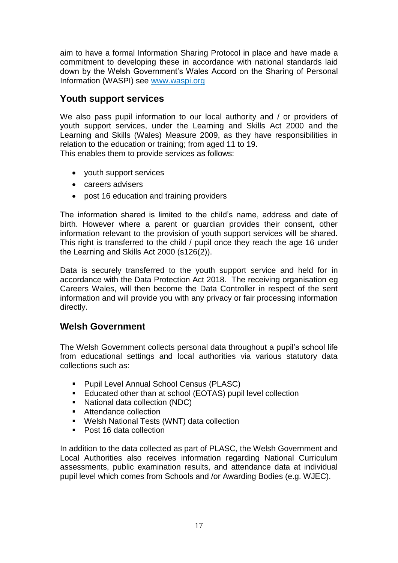aim to have a formal Information Sharing Protocol in place and have made a commitment to developing these in accordance with national standards laid down by the Welsh Government's Wales Accord on the Sharing of Personal Information (WASPI) see [www.waspi.org](http://www.waspi.org/)

## **Youth support services**

We also pass pupil information to our local authority and / or providers of youth support services, under the Learning and Skills Act 2000 and the Learning and Skills (Wales) Measure 2009, as they have responsibilities in relation to the education or training; from aged 11 to 19. This enables them to provide services as follows:

- youth support services
- careers advisers
- post 16 education and training providers

The information shared is limited to the child's name, address and date of birth. However where a parent or guardian provides their consent, other information relevant to the provision of youth support services will be shared. This right is transferred to the child / pupil once they reach the age 16 under the Learning and Skills Act 2000 (s126(2)).

Data is securely transferred to the youth support service and held for in accordance with the Data Protection Act 2018. The receiving organisation eg Careers Wales, will then become the Data Controller in respect of the sent information and will provide you with any privacy or fair processing information directly.

# **Welsh Government**

The Welsh Government collects personal data throughout a pupil's school life from educational settings and local authorities via various statutory data collections such as:

- Pupil Level Annual School Census (PLASC)
- Educated other than at school (EOTAS) pupil level collection
- National data collection (NDC)
- Attendance collection
- Welsh National Tests (WNT) data collection
- Post 16 data collection

In addition to the data collected as part of PLASC, the Welsh Government and Local Authorities also receives information regarding National Curriculum assessments, public examination results, and attendance data at individual pupil level which comes from Schools and /or Awarding Bodies (e.g. WJEC).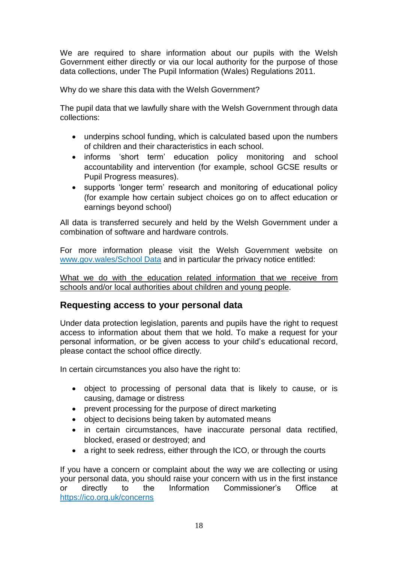We are required to share information about our pupils with the Welsh Government either directly or via our local authority for the purpose of those data collections, under The Pupil Information (Wales) Regulations 2011.

Why do we share this data with the Welsh Government?

The pupil data that we lawfully share with the Welsh Government through data collections:

- underpins school funding, which is calculated based upon the numbers of children and their characteristics in each school.
- informs 'short term' education policy monitoring and school accountability and intervention (for example, school GCSE results or Pupil Progress measures).
- supports 'longer term' research and monitoring of educational policy (for example how certain subject choices go on to affect education or earnings beyond school)

All data is transferred securely and held by the Welsh Government under a combination of software and hardware controls.

For more information please visit the Welsh Government website on [www.gov.wales/School Data](http://gov.wales/topics/educationandskills/schoolshome/schooldata/ims/datamanagementims/?lang=en) and in particular the privacy notice entitled:

[What we do with the education related information that](http://gov.wales/docs/dcells/publications/171117-privacy-notice-en.doc) we receive from [schools and/or local authorities about children and young people.](http://gov.wales/docs/dcells/publications/171117-privacy-notice-en.doc)

## **Requesting access to your personal data**

Under data protection legislation, parents and pupils have the right to request access to information about them that we hold. To make a request for your personal information, or be given access to your child's educational record, please contact the school office directly.

In certain circumstances you also have the right to:

- object to processing of personal data that is likely to cause, or is causing, damage or distress
- prevent processing for the purpose of direct marketing
- object to decisions being taken by automated means
- in certain circumstances, have inaccurate personal data rectified, blocked, erased or destroyed; and
- a right to seek redress, either through the ICO, or through the courts

If you have a concern or complaint about the way we are collecting or using your personal data, you should raise your concern with us in the first instance or directly to the Information Commissioner's Office at https://ico.org.uk/concerns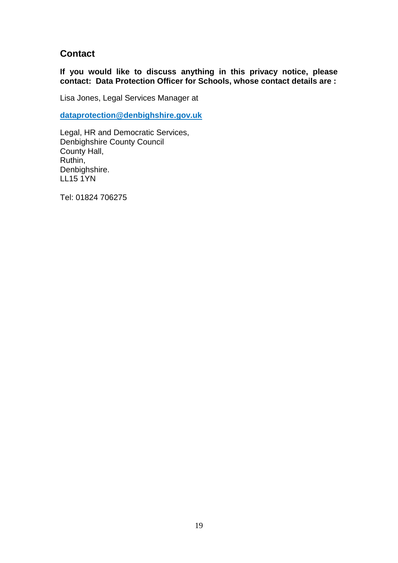# **Contact**

**If you would like to discuss anything in this privacy notice, please contact: Data Protection Officer for Schools, whose contact details are :**

Lisa Jones, Legal Services Manager at

**[dataprotection@denbighshire.gov.uk](mailto:dataprotection@denbighshire.gov.uk)**

Legal, HR and Democratic Services, Denbighshire County Council County Hall, Ruthin, Denbighshire. LL15 1YN

Tel: 01824 706275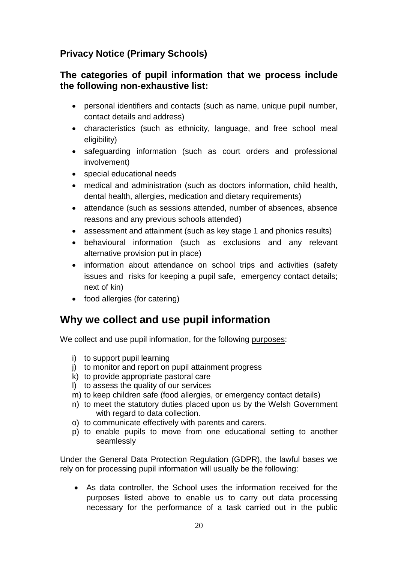# **Privacy Notice (Primary Schools)**

# **The categories of pupil information that we process include the following non-exhaustive list:**

- personal identifiers and contacts (such as name, unique pupil number, contact details and address)
- characteristics (such as ethnicity, language, and free school meal eligibility)
- safeguarding information (such as court orders and professional involvement)
- special educational needs
- medical and administration (such as doctors information, child health, dental health, allergies, medication and dietary requirements)
- attendance (such as sessions attended, number of absences, absence reasons and any previous schools attended)
- assessment and attainment (such as key stage 1 and phonics results)
- behavioural information (such as exclusions and any relevant alternative provision put in place)
- information about attendance on school trips and activities (safety issues and risks for keeping a pupil safe, emergency contact details; next of kin)
- food allergies (for catering)

# **Why we collect and use pupil information**

We collect and use pupil information, for the following purposes:

- i) to support pupil learning
- j) to monitor and report on pupil attainment progress
- k) to provide appropriate pastoral care
- l) to assess the quality of our services
- m) to keep children safe (food allergies, or emergency contact details)
- n) to meet the statutory duties placed upon us by the Welsh Government with regard to data collection.
- o) to communicate effectively with parents and carers.
- p) to enable pupils to move from one educational setting to another seamlessly

Under the General Data Protection Regulation (GDPR), the lawful bases we rely on for processing pupil information will usually be the following:

• As data controller, the School uses the information received for the purposes listed above to enable us to carry out data processing necessary for the performance of a task carried out in the public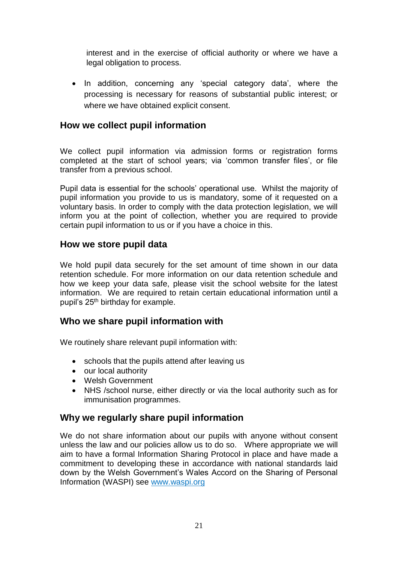interest and in the exercise of official authority or where we have a legal obligation to process.

• In addition, concerning any 'special category data', where the processing is necessary for reasons of substantial public interest; or where we have obtained explicit consent.

# **How we collect pupil information**

We collect pupil information via admission forms or registration forms completed at the start of school years; via 'common transfer files', or file transfer from a previous school.

Pupil data is essential for the schools' operational use. Whilst the majority of pupil information you provide to us is mandatory, some of it requested on a voluntary basis. In order to comply with the data protection legislation, we will inform you at the point of collection, whether you are required to provide certain pupil information to us or if you have a choice in this.

#### **How we store pupil data**

We hold pupil data securely for the set amount of time shown in our data retention schedule. For more information on our data retention schedule and how we keep your data safe, please visit the school website for the latest information. We are required to retain certain educational information until a pupil's 25<sup>th</sup> birthday for example.

## **Who we share pupil information with**

We routinely share relevant pupil information with:

- schools that the pupils attend after leaving us
- our local authority
- Welsh Government
- NHS /school nurse, either directly or via the local authority such as for immunisation programmes.

## **Why we regularly share pupil information**

We do not share information about our pupils with anyone without consent unless the law and our policies allow us to do so. Where appropriate we will aim to have a formal Information Sharing Protocol in place and have made a commitment to developing these in accordance with national standards laid down by the Welsh Government's Wales Accord on the Sharing of Personal Information (WASPI) see [www.waspi.org](http://www.waspi.org/)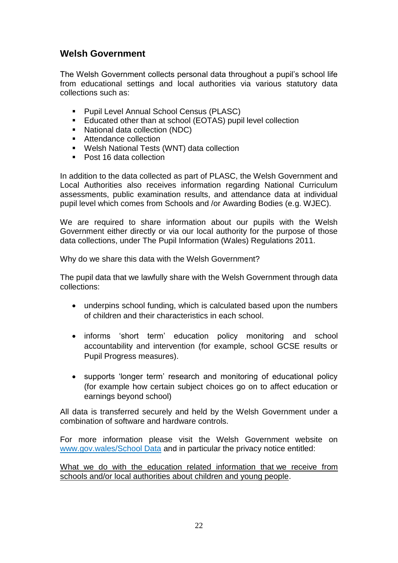# **Welsh Government**

The Welsh Government collects personal data throughout a pupil's school life from educational settings and local authorities via various statutory data collections such as:

- Pupil Level Annual School Census (PLASC)
- Educated other than at school (EOTAS) pupil level collection
- National data collection (NDC)
- Attendance collection
- Welsh National Tests (WNT) data collection
- Post 16 data collection

In addition to the data collected as part of PLASC, the Welsh Government and Local Authorities also receives information regarding National Curriculum assessments, public examination results, and attendance data at individual pupil level which comes from Schools and /or Awarding Bodies (e.g. WJEC).

We are required to share information about our pupils with the Welsh Government either directly or via our local authority for the purpose of those data collections, under The Pupil Information (Wales) Regulations 2011.

Why do we share this data with the Welsh Government?

The pupil data that we lawfully share with the Welsh Government through data collections:

- underpins school funding, which is calculated based upon the numbers of children and their characteristics in each school.
- informs 'short term' education policy monitoring and school accountability and intervention (for example, school GCSE results or Pupil Progress measures).
- supports 'longer term' research and monitoring of educational policy (for example how certain subject choices go on to affect education or earnings beyond school)

All data is transferred securely and held by the Welsh Government under a combination of software and hardware controls.

For more information please visit the Welsh Government website on [www.gov.wales/School Data](http://gov.wales/topics/educationandskills/schoolshome/schooldata/ims/datamanagementims/?lang=en) and in particular the privacy notice entitled:

[What we do with the education related information that](http://gov.wales/docs/dcells/publications/171117-privacy-notice-en.doc) we receive from [schools and/or local authorities about children and young people.](http://gov.wales/docs/dcells/publications/171117-privacy-notice-en.doc)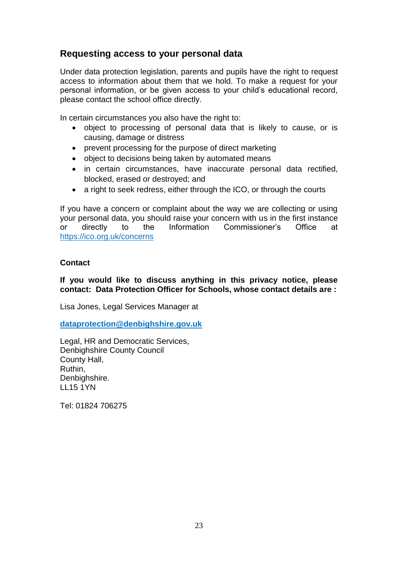# **Requesting access to your personal data**

Under data protection legislation, parents and pupils have the right to request access to information about them that we hold. To make a request for your personal information, or be given access to your child's educational record, please contact the school office directly.

In certain circumstances you also have the right to:

- object to processing of personal data that is likely to cause, or is causing, damage or distress
- prevent processing for the purpose of direct marketing
- object to decisions being taken by automated means
- in certain circumstances, have inaccurate personal data rectified, blocked, erased or destroyed; and
- a right to seek redress, either through the ICO, or through the courts

If you have a concern or complaint about the way we are collecting or using your personal data, you should raise your concern with us in the first instance or directly to the Information Commissioner's Office at https://ico.org.uk/concerns

#### **Contact**

**If you would like to discuss anything in this privacy notice, please contact: Data Protection Officer for Schools, whose contact details are :**

Lisa Jones, Legal Services Manager at

**[dataprotection@denbighshire.gov.uk](mailto:dataprotection@denbighshire.gov.uk)**

Legal, HR and Democratic Services, Denbighshire County Council County Hall, Ruthin, Denbighshire. LL15 1YN

Tel: 01824 706275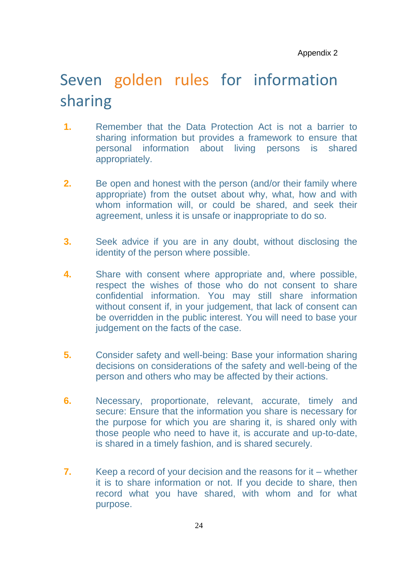# Seven golden rules for information sharing

- **1.** Remember that the Data Protection Act is not a barrier to sharing information but provides a framework to ensure that personal information about living persons is shared appropriately.
- **2.** Be open and honest with the person (and/or their family where appropriate) from the outset about why, what, how and with whom information will, or could be shared, and seek their agreement, unless it is unsafe or inappropriate to do so.
- **3.** Seek advice if you are in any doubt, without disclosing the identity of the person where possible.
- **4.** Share with consent where appropriate and, where possible, respect the wishes of those who do not consent to share confidential information. You may still share information without consent if, in your judgement, that lack of consent can be overridden in the public interest. You will need to base your iudgement on the facts of the case.
- **5.** Consider safety and well-being: Base your information sharing decisions on considerations of the safety and well-being of the person and others who may be affected by their actions.
- **6.** Necessary, proportionate, relevant, accurate, timely and secure: Ensure that the information you share is necessary for the purpose for which you are sharing it, is shared only with those people who need to have it, is accurate and up-to-date, is shared in a timely fashion, and is shared securely.
- **7.** Keep a record of your decision and the reasons for it whether it is to share information or not. If you decide to share, then record what you have shared, with whom and for what purpose.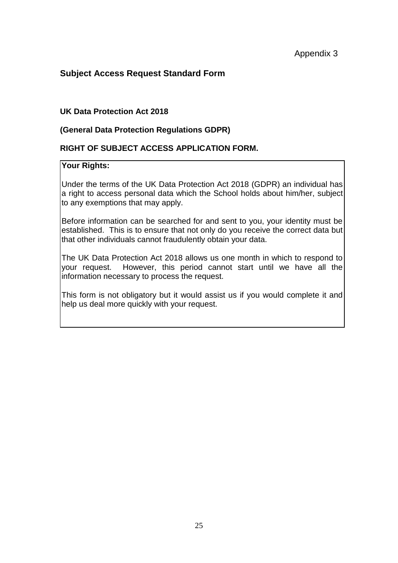#### **Subject Access Request Standard Form**

#### **UK Data Protection Act 2018**

#### **(General Data Protection Regulations GDPR)**

#### **RIGHT OF SUBJECT ACCESS APPLICATION FORM.**

#### **Your Rights:**

Under the terms of the UK Data Protection Act 2018 (GDPR) an individual has a right to access personal data which the School holds about him/her, subject to any exemptions that may apply.

Before information can be searched for and sent to you, your identity must be established. This is to ensure that not only do you receive the correct data but that other individuals cannot fraudulently obtain your data.

The UK Data Protection Act 2018 allows us one month in which to respond to your request. However, this period cannot start until we have all the information necessary to process the request.

This form is not obligatory but it would assist us if you would complete it and help us deal more quickly with your request.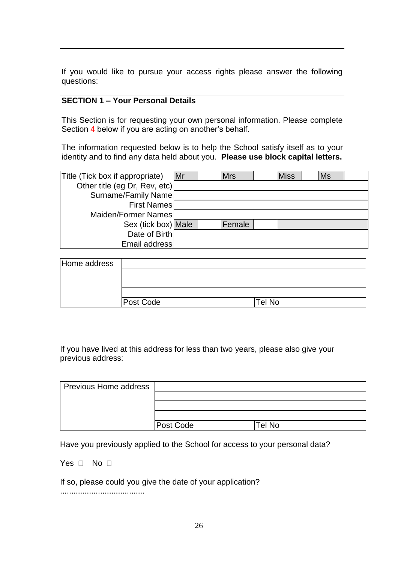If you would like to pursue your access rights please answer the following questions:

#### **SECTION 1 – Your Personal Details**

This Section is for requesting your own personal information. Please complete Section 4 below if you are acting on another's behalf.

The information requested below is to help the School satisfy itself as to your identity and to find any data held about you. **Please use block capital letters.**

| Title (Tick box if appropriate) | Mr | <b>Mrs</b> | <b>Miss</b> | <b>Ms</b> |  |
|---------------------------------|----|------------|-------------|-----------|--|
| Other title (eg Dr, Rev, etc)   |    |            |             |           |  |
| Surname/Family Name             |    |            |             |           |  |
| <b>First Names</b>              |    |            |             |           |  |
| Maiden/Former Names             |    |            |             |           |  |
| Sex (tick box) Male             |    | Female     |             |           |  |
| Date of Birth                   |    |            |             |           |  |
| Email address                   |    |            |             |           |  |

| Home address |           |        |  |
|--------------|-----------|--------|--|
|              |           |        |  |
|              |           |        |  |
|              |           |        |  |
|              | Post Code | Tel No |  |

If you have lived at this address for less than two years, please also give your previous address:

| Previous Home address |           |        |
|-----------------------|-----------|--------|
|                       |           |        |
|                       |           |        |
|                       |           |        |
|                       | Post Code | Tel No |

Have you previously applied to the School for access to your personal data?

Yes  $\Box$  No  $\Box$ 

If so, please could you give the date of your application?

......................................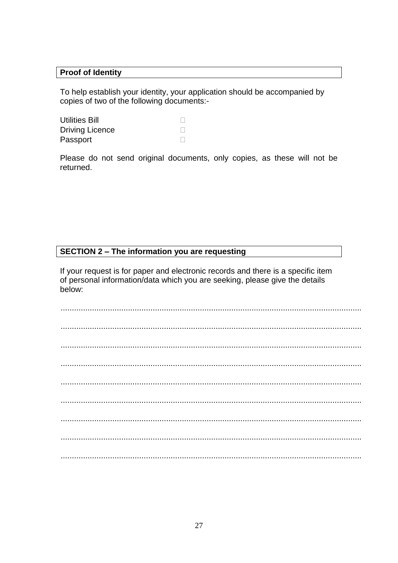#### **Proof of Identity**

To help establish your identity, your application should be accompanied by copies of two of the following documents:-

| <b>Utilities Bill</b>  |  |
|------------------------|--|
| <b>Driving Licence</b> |  |
| Passport               |  |

Please do not send original documents, only copies, as these will not be returned.

#### SECTION 2 - The information you are requesting

If your request is for paper and electronic records and there is a specific item of personal information/data which you are seeking, please give the details below: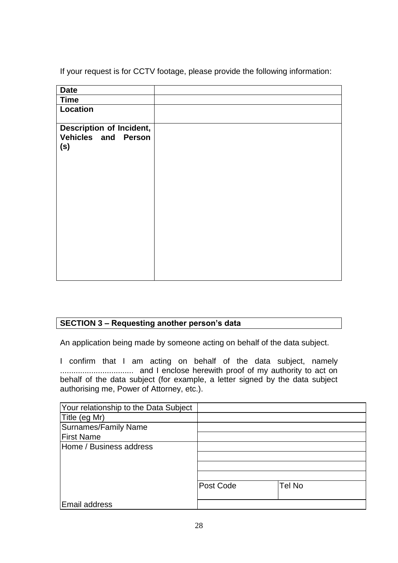If your request is for CCTV footage, please provide the following information:

| <b>Date</b>                                            |  |
|--------------------------------------------------------|--|
| <b>Time</b>                                            |  |
| Location                                               |  |
| Description of Incident,<br>Vehicles and Person<br>(s) |  |
|                                                        |  |

## **SECTION 3 – Requesting another person's data**

An application being made by someone acting on behalf of the data subject.

I confirm that I am acting on behalf of the data subject, namely ................................. and I enclose herewith proof of my authority to act on behalf of the data subject (for example, a letter signed by the data subject authorising me, Power of Attorney, etc.).

| Your relationship to the Data Subject |           |        |
|---------------------------------------|-----------|--------|
| Title (eg Mr)                         |           |        |
| <b>Surnames/Family Name</b>           |           |        |
| <b>First Name</b>                     |           |        |
| Home / Business address               |           |        |
|                                       |           |        |
|                                       |           |        |
|                                       |           |        |
|                                       | Post Code | Tel No |
|                                       |           |        |
| Email address                         |           |        |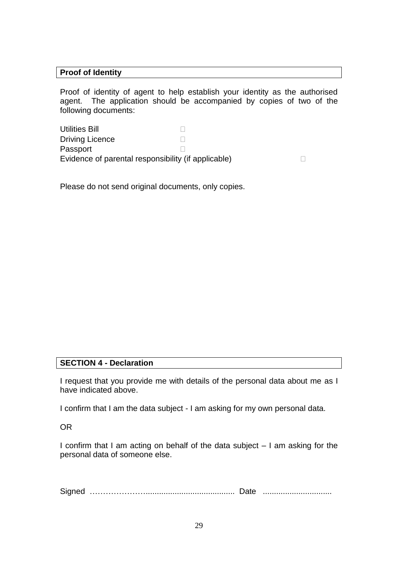#### **Proof of Identity**

Proof of identity of agent to help establish your identity as the authorised agent. The application should be accompanied by copies of two of the following documents:

| <b>Utilities Bill</b>                               |  |  |
|-----------------------------------------------------|--|--|
| <b>Driving Licence</b>                              |  |  |
| Passport                                            |  |  |
| Evidence of parental responsibility (if applicable) |  |  |

Please do not send original documents, only copies.

#### **SECTION 4 - Declaration**

I request that you provide me with details of the personal data about me as I have indicated above.

I confirm that I am the data subject - I am asking for my own personal data.

OR

I confirm that I am acting on behalf of the data subject – I am asking for the personal data of someone else.

Signed …………………........................................ Date ...............................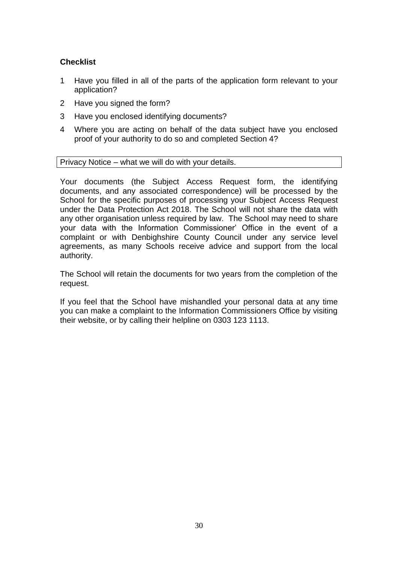#### **Checklist**

- 1 Have you filled in all of the parts of the application form relevant to your application?
- 2 Have you signed the form?
- 3 Have you enclosed identifying documents?
- 4 Where you are acting on behalf of the data subject have you enclosed proof of your authority to do so and completed Section 4?

Privacy Notice – what we will do with your details.

Your documents (the Subject Access Request form, the identifying documents, and any associated correspondence) will be processed by the School for the specific purposes of processing your Subject Access Request under the Data Protection Act 2018. The School will not share the data with any other organisation unless required by law. The School may need to share your data with the Information Commissioner' Office in the event of a complaint or with Denbighshire County Council under any service level agreements, as many Schools receive advice and support from the local authority.

The School will retain the documents for two years from the completion of the request.

If you feel that the School have mishandled your personal data at any time you can make a complaint to the Information Commissioners Office by visiting their website, or by calling their helpline on 0303 123 1113.